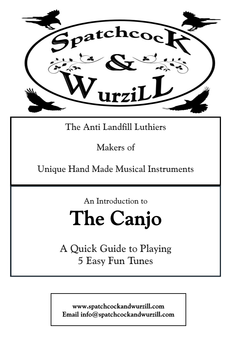

### The Anti Landfill Luthiers

Makers of

Unique Hand Made Musical Instruments

An Introduction to

# The Canjo

A Quick Guide to Playing 5 Easy Fun Tunes

www.spatchcockandwurzill.com Email info@spatchcockandwurzill.com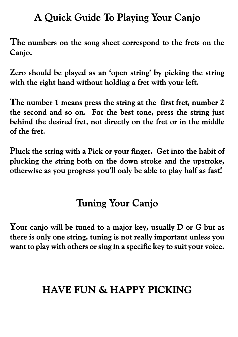### A Quick Guide To Playing Your Canjo

The numbers on the song sheet correspond to the frets on the Canjo.

Zero should be played as an 'open string' by picking the string with the right hand without holding a fret with your left.

The number 1 means press the string at the first fret, number 2 the second and so on. For the best tone, press the string just behind the desired fret, not directly on the fret or in the middle of the fret.

Pluck the string with a Pick or your finger. Get into the habit of plucking the string both on the down stroke and the upstroke, otherwise as you progress you'll only be able to play half as fast!

## **Tuning Your Canjo**

Your canjo will be tuned to a major key, usually D or G but as there is only one string, tuning is not really important unless you want to play with others or sing in a specific key to suit your voice.

# **HAVE FUN & HAPPY PICKING**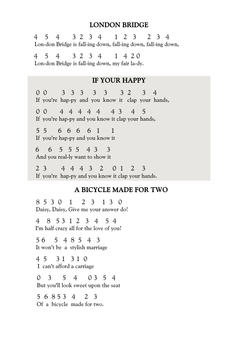#### **LONDON BRIDGE**

4 5 4 3 2 3 4 1 2 3 2 3 4 Lon-don Bridge is fall-ing down, fall-ing down, fall-ing down, 4 5 4 3 2 3 4 1 4 2 0 Lon-don Bridge is fall-ing down, my fair la-dy. **IF YOUR HAPPY** 0 0 3 3 3 3 3 3 2 3 4 If you're hap-py and you know it clap your hands, 0 0 4 4 4 4 4 4 3 4 5 If you're hap-py and you know it clap your hands, 5 5 6 6 6 6 1 1 If you're hap-py and you know it 6 6 5 5 5 4 3 3 And you real-ly want to show it 2 3 4 4 4 3 2 0 1 2 3 If you're hap-py and you know it clap your hands.

#### A BICYCLE MADE FOR TWO

8 5 3 0 1 2 3 1 3 0 Daisy, Daisy, Give me your answer do!

4 8 5 3 1 2 3 4 5 4 I'm half crazy all for the love of you!

5 6 5 4 8 5 4 3 It won't be a stylish marriage

4 5 3 1 3 1 0 I can't afford a carriage

0 3 5 4 0 3 5 4 But you'll look sweet upon the seat

5 6 8 5 3 4 2 3 Of a bicycle made for two.